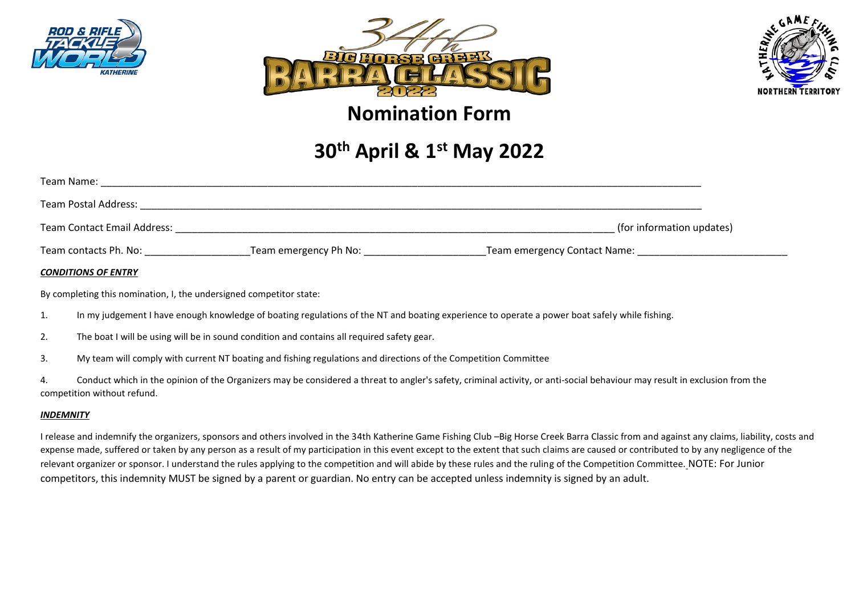





## **Nomination Form**

# **30th April & 1 st May 2022**

| Team Name:                         |                       |                              |                           |
|------------------------------------|-----------------------|------------------------------|---------------------------|
| Team Postal Address:               |                       |                              |                           |
| <b>Team Contact Email Address:</b> |                       |                              | (for information updates) |
| Team contacts Ph. No:              | Team emergency Ph No: | Team emergency Contact Name: |                           |

#### *CONDITIONS OF ENTRY*

By completing this nomination, I, the undersigned competitor state:

- 1. In my judgement I have enough knowledge of boating regulations of the NT and boating experience to operate a power boat safely while fishing.
- 2. The boat I will be using will be in sound condition and contains all required safety gear.
- 3. My team will comply with current NT boating and fishing regulations and directions of the Competition Committee
- 4. Conduct which in the opinion of the Organizers may be considered a threat to angler's safety, criminal activity, or anti-social behaviour may result in exclusion from the competition without refund.

#### *INDEMNITY*

I release and indemnify the organizers, sponsors and others involved in the 34th Katherine Game Fishing Club –Big Horse Creek Barra Classic from and against any claims, liability, costs and expense made, suffered or taken by any person as a result of my participation in this event except to the extent that such claims are caused or contributed to by any negligence of the relevant organizer or sponsor. I understand the rules applying to the competition and will abide by these rules and the ruling of the Competition Committee. NOTE: For Junior competitors, this indemnity MUST be signed by a parent or guardian. No entry can be accepted unless indemnity is signed by an adult.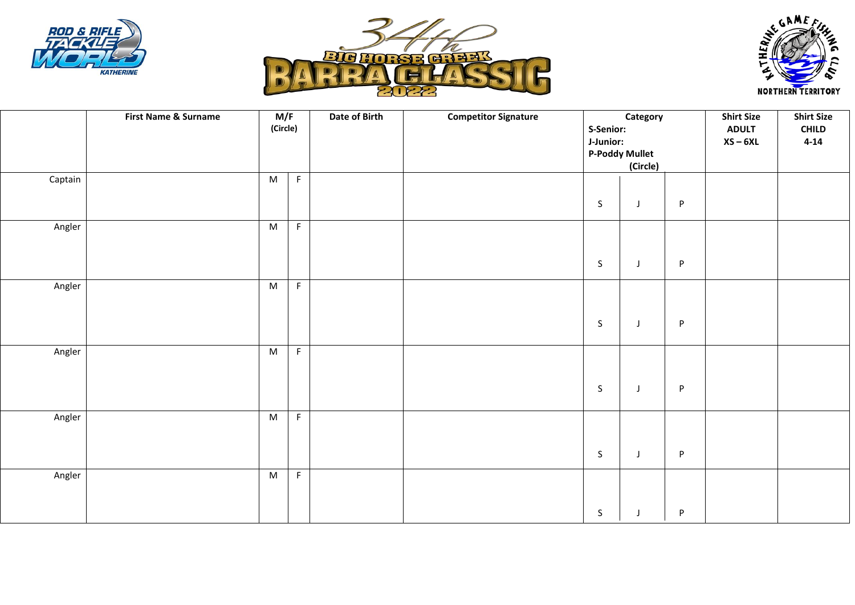





|         | <b>First Name &amp; Surname</b> | M/F<br>(Circle) |             | Date of Birth | <b>Competitor Signature</b> | S-Senior:<br>J-Junior: | Category<br><b>P-Poddy Mullet</b><br>(Circle) |         | <b>Shirt Size</b><br><b>ADULT</b><br>$XS - 6XL$ | <b>Shirt Size</b><br><b>CHILD</b><br>$4 - 14$ |
|---------|---------------------------------|-----------------|-------------|---------------|-----------------------------|------------------------|-----------------------------------------------|---------|-------------------------------------------------|-----------------------------------------------|
| Captain |                                 | M               | $\mathsf F$ |               |                             | $\mathsf S$            | $\mathsf J$                                   | P       |                                                 |                                               |
| Angler  |                                 | ${\sf M}$       | F           |               |                             | $\mathsf S$            | $\mathsf J$                                   | P       |                                                 |                                               |
| Angler  |                                 | M               | $\mathsf F$ |               |                             | $\mathsf S$            | $\mathsf J$                                   | $\sf P$ |                                                 |                                               |
| Angler  |                                 | ${\sf M}$       | $\mathsf F$ |               |                             | $\mathsf{S}$           | J                                             | $\sf P$ |                                                 |                                               |
| Angler  |                                 | M               | F           |               |                             | $\mathsf S$            | $\mathsf J$                                   | P       |                                                 |                                               |
| Angler  |                                 | ${\sf M}$       | F           |               |                             | $\mathsf S$            | J                                             | P       |                                                 |                                               |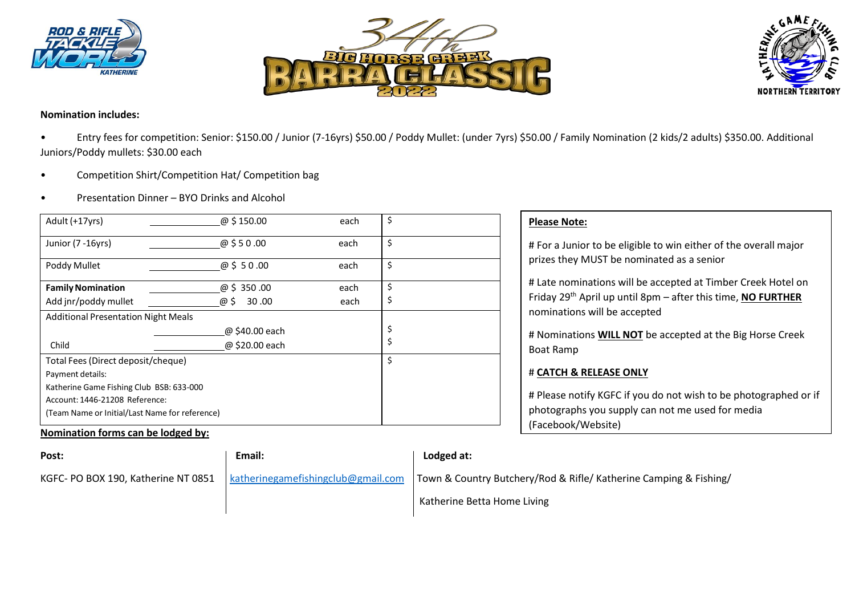





**Nomination includes:**

• Entry fees for competition: Senior: \$150.00 / Junior (7-16yrs) \$50.00 / Poddy Mullet: (under 7yrs) \$50.00 / Family Nomination (2 kids/2 adults) \$350.00. Additional Juniors/Poddy mullets: \$30.00 each

- Competition Shirt/Competition Hat/ Competition bag
- Presentation Dinner BYO Drinks and Alcohol

| Adult (+17yrs)                                 | @ \$150.00     | each | \$ |
|------------------------------------------------|----------------|------|----|
| Junior (7 - 16 yrs)                            | @\$50.00       | each | \$ |
| Poddy Mullet                                   | @\$50.00       | each | \$ |
| <b>Family Nomination</b>                       | @ \$ 350.00    | each | \$ |
| Add jnr/poddy mullet                           | @ \$<br>30.00  | each | \$ |
| <b>Additional Presentation Night Meals</b>     |                |      |    |
|                                                | @ \$40.00 each |      | \$ |
| Child                                          | @ \$20.00 each |      | \$ |
| Total Fees (Direct deposit/cheque)             | \$             |      |    |
| Payment details:                               |                |      |    |
| Katherine Game Fishing Club BSB: 633-000       |                |      |    |
| Account: 1446-21208 Reference:                 |                |      |    |
| (Team Name or Initial/Last Name for reference) |                |      |    |

### **Nomination forms can be lodged by:**

| <b>Please Note:</b>                                                                                                                                                      |
|--------------------------------------------------------------------------------------------------------------------------------------------------------------------------|
| # For a Junior to be eligible to win either of the overall major<br>prizes they MUST be nominated as a senior                                                            |
| # Late nominations will be accepted at Timber Creek Hotel on<br>Friday 29 <sup>th</sup> April up until 8pm - after this time, NO FURTHER<br>nominations will be accepted |
| # Nominations WILL NOT be accepted at the Big Horse Creek<br><b>Boat Ramp</b>                                                                                            |
| # CATCH & RELEASE ONLY                                                                                                                                                   |
| # Please notify KGFC if you do not wish to be photographed or if<br>photographs you supply can not me used for media<br>(Facebook/Website)                               |

| Post:                               | Email:                             | Lodged at:                                                        |
|-------------------------------------|------------------------------------|-------------------------------------------------------------------|
| KGFC- PO BOX 190, Katherine NT 0851 | katherinegamefishingclub@gmail.com | Town & Country Butchery/Rod & Rifle/ Katherine Camping & Fishing/ |
|                                     |                                    | Katherine Betta Home Living                                       |